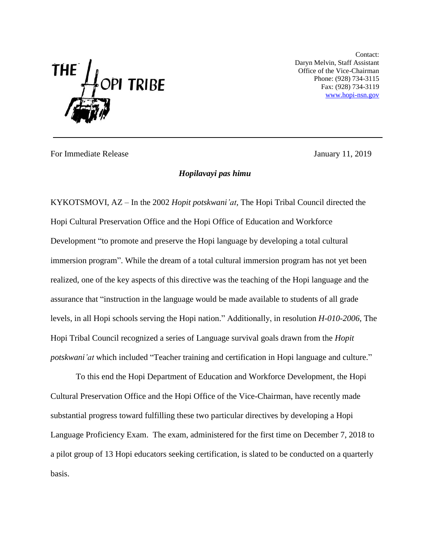

Contact: Daryn Melvin, Staff Assistant Office of the Vice-Chairman Phone: (928) 734-3115 Fax: (928) 734-3119 [www.hopi-nsn.gov](http://www.hopi-nsn.gov/)

For Immediate Release **For Immediate Release** January 11, 2019

## *Hopilavayi pas himu*

KYKOTSMOVI, AZ – In the 2002 *Hopit potskwani'at,* The Hopi Tribal Council directed the Hopi Cultural Preservation Office and the Hopi Office of Education and Workforce Development "to promote and preserve the Hopi language by developing a total cultural immersion program". While the dream of a total cultural immersion program has not yet been realized, one of the key aspects of this directive was the teaching of the Hopi language and the assurance that "instruction in the language would be made available to students of all grade levels, in all Hopi schools serving the Hopi nation." Additionally, in resolution *H-010-2006,* The Hopi Tribal Council recognized a series of Language survival goals drawn from the *Hopit potskwani'at* which included "Teacher training and certification in Hopi language and culture."

To this end the Hopi Department of Education and Workforce Development, the Hopi Cultural Preservation Office and the Hopi Office of the Vice-Chairman, have recently made substantial progress toward fulfilling these two particular directives by developing a Hopi Language Proficiency Exam. The exam, administered for the first time on December 7, 2018 to a pilot group of 13 Hopi educators seeking certification, is slated to be conducted on a quarterly basis.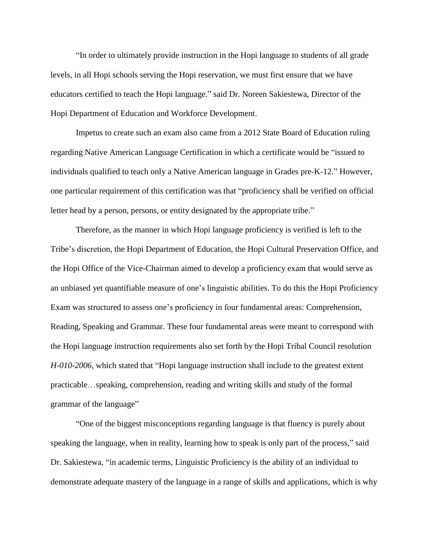"In order to ultimately provide instruction in the Hopi language to students of all grade levels, in all Hopi schools serving the Hopi reservation, we must first ensure that we have educators certified to teach the Hopi language." said Dr. Noreen Sakiestewa, Director of the Hopi Department of Education and Workforce Development.

Impetus to create such an exam also came from a 2012 State Board of Education ruling regarding Native American Language Certification in which a certificate would be "issued to individuals qualified to teach only a Native American language in Grades pre-K-12." However, one particular requirement of this certification was that "proficiency shall be verified on official letter head by a person, persons, or entity designated by the appropriate tribe."

Therefore, as the manner in which Hopi language proficiency is verified is left to the Tribe's discretion, the Hopi Department of Education, the Hopi Cultural Preservation Office, and the Hopi Office of the Vice-Chairman aimed to develop a proficiency exam that would serve as an unbiased yet quantifiable measure of one's linguistic abilities. To do this the Hopi Proficiency Exam was structured to assess one's proficiency in four fundamental areas: Comprehension, Reading, Speaking and Grammar. These four fundamental areas were meant to correspond with the Hopi language instruction requirements also set forth by the Hopi Tribal Council resolution *H-010-2006*, which stated that "Hopi language instruction shall include to the greatest extent practicable…speaking, comprehension, reading and writing skills and study of the formal grammar of the language"

"One of the biggest misconceptions regarding language is that fluency is purely about speaking the language, when in reality, learning how to speak is only part of the process," said Dr. Sakiestewa, "in academic terms, Linguistic Proficiency is the ability of an individual to demonstrate adequate mastery of the language in a range of skills and applications, which is why